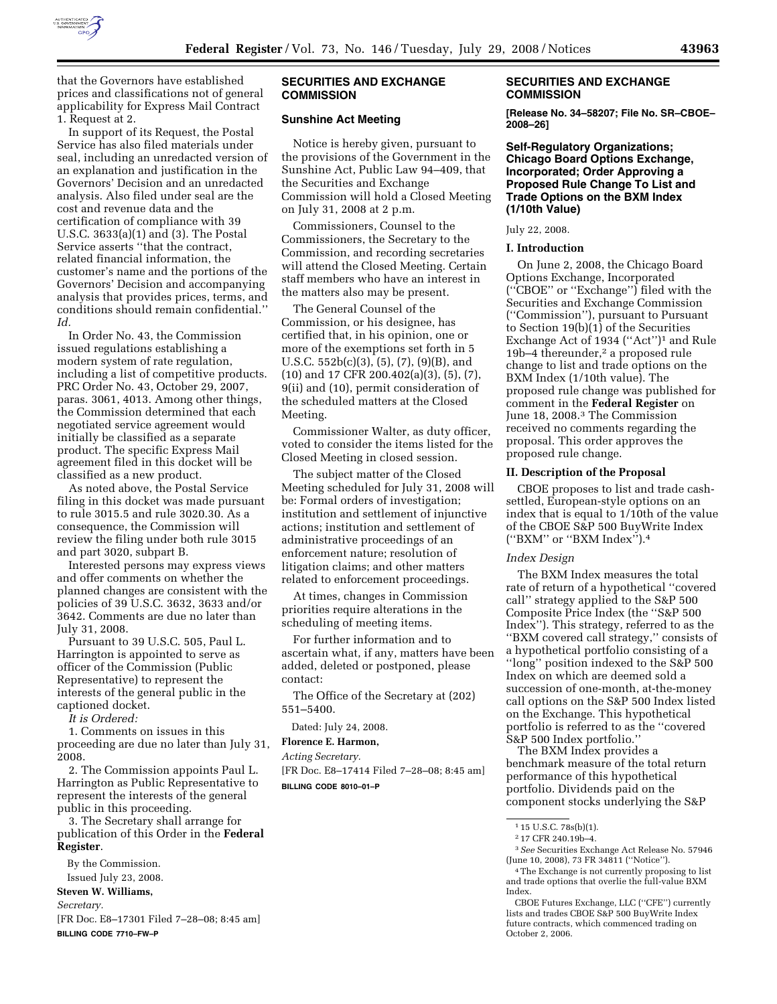

that the Governors have established prices and classifications not of general applicability for Express Mail Contract 1. Request at 2.

In support of its Request, the Postal Service has also filed materials under seal, including an unredacted version of an explanation and justification in the Governors' Decision and an unredacted analysis. Also filed under seal are the cost and revenue data and the certification of compliance with 39 U.S.C. 3633(a)(1) and (3). The Postal Service asserts ''that the contract, related financial information, the customer's name and the portions of the Governors' Decision and accompanying analysis that provides prices, terms, and conditions should remain confidential.'' *Id.* 

In Order No. 43, the Commission issued regulations establishing a modern system of rate regulation, including a list of competitive products. PRC Order No. 43, October 29, 2007, paras. 3061, 4013. Among other things, the Commission determined that each negotiated service agreement would initially be classified as a separate product. The specific Express Mail agreement filed in this docket will be classified as a new product.

As noted above, the Postal Service filing in this docket was made pursuant to rule 3015.5 and rule 3020.30. As a consequence, the Commission will review the filing under both rule 3015 and part 3020, subpart B.

Interested persons may express views and offer comments on whether the planned changes are consistent with the policies of 39 U.S.C. 3632, 3633 and/or 3642. Comments are due no later than July 31, 2008.

Pursuant to 39 U.S.C. 505, Paul L. Harrington is appointed to serve as officer of the Commission (Public Representative) to represent the interests of the general public in the captioned docket.

*It is Ordered:* 

1. Comments on issues in this proceeding are due no later than July 31, 2008.

2. The Commission appoints Paul L. Harrington as Public Representative to represent the interests of the general public in this proceeding.

3. The Secretary shall arrange for publication of this Order in the **Federal Register**.

By the Commission. Issued July 23, 2008.

**Steven W. Williams,** 

*Secretary.* 

[FR Doc. E8–17301 Filed 7–28–08; 8:45 am] **BILLING CODE 7710–FW–P** 

# **SECURITIES AND EXCHANGE COMMISSION**

## **Sunshine Act Meeting**

Notice is hereby given, pursuant to the provisions of the Government in the Sunshine Act, Public Law 94–409, that the Securities and Exchange Commission will hold a Closed Meeting on July 31, 2008 at 2 p.m.

Commissioners, Counsel to the Commissioners, the Secretary to the Commission, and recording secretaries will attend the Closed Meeting. Certain staff members who have an interest in the matters also may be present.

The General Counsel of the Commission, or his designee, has certified that, in his opinion, one or more of the exemptions set forth in 5 U.S.C. 552b(c)(3), (5), (7), (9)(B), and (10) and 17 CFR 200.402(a)(3), (5), (7), 9(ii) and (10), permit consideration of the scheduled matters at the Closed Meeting.

Commissioner Walter, as duty officer, voted to consider the items listed for the Closed Meeting in closed session.

The subject matter of the Closed Meeting scheduled for July 31, 2008 will be: Formal orders of investigation; institution and settlement of injunctive actions; institution and settlement of administrative proceedings of an enforcement nature; resolution of litigation claims; and other matters related to enforcement proceedings.

At times, changes in Commission priorities require alterations in the scheduling of meeting items.

For further information and to ascertain what, if any, matters have been added, deleted or postponed, please contact:

The Office of the Secretary at (202) 551–5400.

Dated: July 24, 2008.

# **Florence E. Harmon,**

*Acting Secretary.* 

[FR Doc. E8–17414 Filed 7–28–08; 8:45 am] **BILLING CODE 8010–01–P** 

## **SECURITIES AND EXCHANGE COMMISSION**

**[Release No. 34–58207; File No. SR–CBOE– 2008–26]** 

### **Self-Regulatory Organizations; Chicago Board Options Exchange, Incorporated; Order Approving a Proposed Rule Change To List and Trade Options on the BXM Index (1/10th Value)**

July 22, 2008.

#### **I. Introduction**

On June 2, 2008, the Chicago Board Options Exchange, Incorporated (''CBOE'' or ''Exchange'') filed with the Securities and Exchange Commission (''Commission''), pursuant to Pursuant to Section  $19(b)(1)$  of the Securities Exchange Act of 1934 (''Act'')1 and Rule 19b–4 thereunder,<sup>2</sup> a proposed rule change to list and trade options on the BXM Index (1/10th value). The proposed rule change was published for comment in the **Federal Register** on June 18, 2008.3 The Commission received no comments regarding the proposal. This order approves the proposed rule change.

#### **II. Description of the Proposal**

CBOE proposes to list and trade cashsettled, European-style options on an index that is equal to 1/10th of the value of the CBOE S&P 500 BuyWrite Index (''BXM'' or ''BXM Index'').4

### *Index Design*

The BXM Index measures the total rate of return of a hypothetical ''covered call'' strategy applied to the S&P 500 Composite Price Index (the ''S&P 500 Index''). This strategy, referred to as the ''BXM covered call strategy,'' consists of a hypothetical portfolio consisting of a ''long'' position indexed to the S&P 500 Index on which are deemed sold a succession of one-month, at-the-money call options on the S&P 500 Index listed on the Exchange. This hypothetical portfolio is referred to as the ''covered S&P 500 Index portfolio.''

The BXM Index provides a benchmark measure of the total return performance of this hypothetical portfolio. Dividends paid on the component stocks underlying the S&P

<sup>1</sup> 15 U.S.C. 78s(b)(1).

<sup>2</sup> 17 CFR 240.19b–4.

<sup>3</sup>*See* Securities Exchange Act Release No. 57946 (June 10, 2008), 73 FR 34811 (''Notice'').

<sup>4</sup>The Exchange is not currently proposing to list and trade options that overlie the full-value BXM Index.

CBOE Futures Exchange, LLC (''CFE'') currently lists and trades CBOE S&P 500 BuyWrite Index future contracts, which commenced trading on October 2, 2006.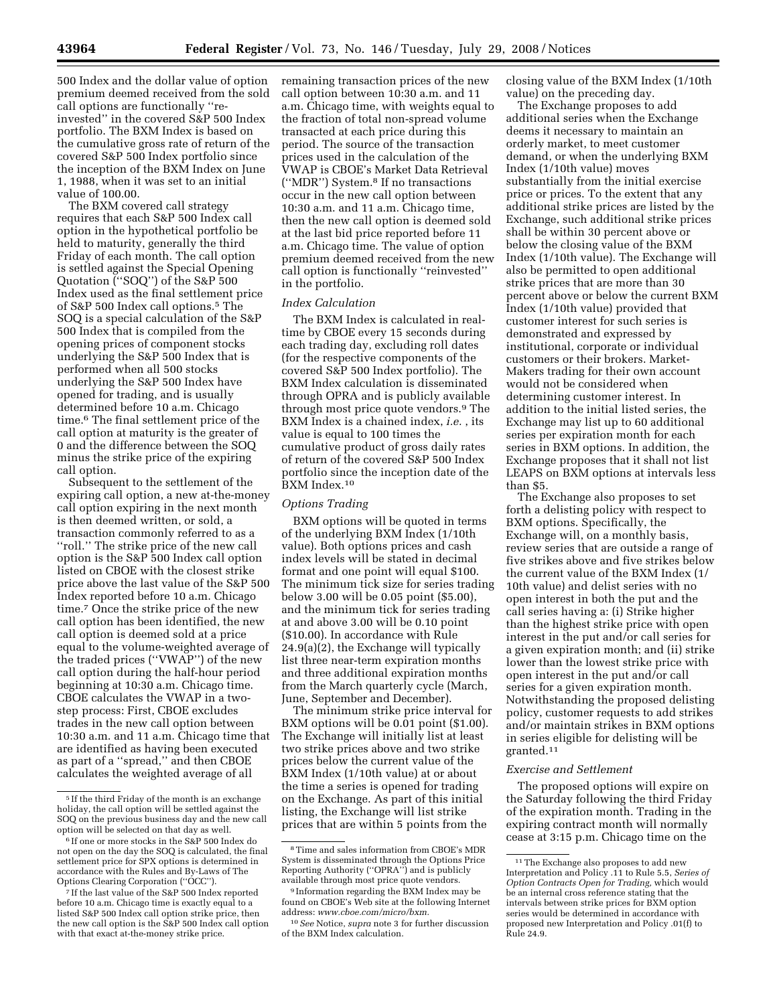500 Index and the dollar value of option premium deemed received from the sold call options are functionally ''reinvested'' in the covered S&P 500 Index portfolio. The BXM Index is based on the cumulative gross rate of return of the covered S&P 500 Index portfolio since the inception of the BXM Index on June 1, 1988, when it was set to an initial value of 100.00.

The BXM covered call strategy requires that each S&P 500 Index call option in the hypothetical portfolio be held to maturity, generally the third Friday of each month. The call option is settled against the Special Opening Quotation (''SOQ'') of the S&P 500 Index used as the final settlement price of S&P 500 Index call options.5 The SOQ is a special calculation of the S&P 500 Index that is compiled from the opening prices of component stocks underlying the S&P 500 Index that is performed when all 500 stocks underlying the S&P 500 Index have opened for trading, and is usually determined before 10 a.m. Chicago time.6 The final settlement price of the call option at maturity is the greater of 0 and the difference between the SOQ minus the strike price of the expiring call option.

Subsequent to the settlement of the expiring call option, a new at-the-money call option expiring in the next month is then deemed written, or sold, a transaction commonly referred to as a ''roll.'' The strike price of the new call option is the S&P 500 Index call option listed on CBOE with the closest strike price above the last value of the S&P 500 Index reported before 10 a.m. Chicago time.7 Once the strike price of the new call option has been identified, the new call option is deemed sold at a price equal to the volume-weighted average of the traded prices (''VWAP'') of the new call option during the half-hour period beginning at 10:30 a.m. Chicago time. CBOE calculates the VWAP in a twostep process: First, CBOE excludes trades in the new call option between 10:30 a.m. and 11 a.m. Chicago time that are identified as having been executed as part of a ''spread,'' and then CBOE calculates the weighted average of all

remaining transaction prices of the new call option between 10:30 a.m. and 11 a.m. Chicago time, with weights equal to the fraction of total non-spread volume transacted at each price during this period. The source of the transaction prices used in the calculation of the VWAP is CBOE's Market Data Retrieval (''MDR'') System.8 If no transactions occur in the new call option between 10:30 a.m. and 11 a.m. Chicago time, then the new call option is deemed sold at the last bid price reported before 11 a.m. Chicago time. The value of option premium deemed received from the new call option is functionally ''reinvested'' in the portfolio.

#### *Index Calculation*

The BXM Index is calculated in realtime by CBOE every 15 seconds during each trading day, excluding roll dates (for the respective components of the covered S&P 500 Index portfolio). The BXM Index calculation is disseminated through OPRA and is publicly available through most price quote vendors.9 The BXM Index is a chained index, *i.e.* , its value is equal to 100 times the cumulative product of gross daily rates of return of the covered S&P 500 Index portfolio since the inception date of the BXM Index.10

#### *Options Trading*

BXM options will be quoted in terms of the underlying BXM Index (1/10th value). Both options prices and cash index levels will be stated in decimal format and one point will equal \$100. The minimum tick size for series trading below 3.00 will be 0.05 point (\$5.00), and the minimum tick for series trading at and above 3.00 will be 0.10 point (\$10.00). In accordance with Rule 24.9(a)(2), the Exchange will typically list three near-term expiration months and three additional expiration months from the March quarterly cycle (March, June, September and December).

The minimum strike price interval for BXM options will be 0.01 point (\$1.00). The Exchange will initially list at least two strike prices above and two strike prices below the current value of the BXM Index (1/10th value) at or about the time a series is opened for trading on the Exchange. As part of this initial listing, the Exchange will list strike prices that are within 5 points from the

closing value of the BXM Index (1/10th value) on the preceding day.

The Exchange proposes to add additional series when the Exchange deems it necessary to maintain an orderly market, to meet customer demand, or when the underlying BXM Index (1/10th value) moves substantially from the initial exercise price or prices. To the extent that any additional strike prices are listed by the Exchange, such additional strike prices shall be within 30 percent above or below the closing value of the BXM Index (1/10th value). The Exchange will also be permitted to open additional strike prices that are more than 30 percent above or below the current BXM Index (1/10th value) provided that customer interest for such series is demonstrated and expressed by institutional, corporate or individual customers or their brokers. Market-Makers trading for their own account would not be considered when determining customer interest. In addition to the initial listed series, the Exchange may list up to 60 additional series per expiration month for each series in BXM options. In addition, the Exchange proposes that it shall not list LEAPS on BXM options at intervals less than \$5.

The Exchange also proposes to set forth a delisting policy with respect to BXM options. Specifically, the Exchange will, on a monthly basis, review series that are outside a range of five strikes above and five strikes below the current value of the BXM Index (1/ 10th value) and delist series with no open interest in both the put and the call series having a: (i) Strike higher than the highest strike price with open interest in the put and/or call series for a given expiration month; and (ii) strike lower than the lowest strike price with open interest in the put and/or call series for a given expiration month. Notwithstanding the proposed delisting policy, customer requests to add strikes and/or maintain strikes in BXM options in series eligible for delisting will be granted.11

### *Exercise and Settlement*

The proposed options will expire on the Saturday following the third Friday of the expiration month. Trading in the expiring contract month will normally cease at 3:15 p.m. Chicago time on the

<sup>5</sup> If the third Friday of the month is an exchange holiday, the call option will be settled against the SOQ on the previous business day and the new call option will be selected on that day as well.

 $^6\,$  If one or more stocks in the S&P 500 Index do not open on the day the SOQ is calculated, the final settlement price for SPX options is determined in accordance with the Rules and By-Laws of The Options Clearing Corporation (''OCC'').

<sup>7</sup> If the last value of the S&P 500 Index reported before 10 a.m. Chicago time is exactly equal to a listed S&P 500 Index call option strike price, then the new call option is the S&P 500 Index call option with that exact at-the-money strike price.

<sup>8</sup>Time and sales information from CBOE's MDR System is disseminated through the Options Price Reporting Authority (''OPRA'') and is publicly available through most price quote vendors.

<sup>9</sup> Information regarding the BXM Index may be found on CBOE's Web site at the following Internet address: *www.cboe.com/micro/bxm.* 

<sup>10</sup>*See* Notice, *supra* note 3 for further discussion of the BXM Index calculation.

<sup>&</sup>lt;sup>11</sup> The Exchange also proposes to add new Interpretation and Policy .11 to Rule 5.5, *Series of Option Contracts Open for Trading,* which would be an internal cross reference stating that the intervals between strike prices for BXM option series would be determined in accordance with proposed new Interpretation and Policy .01(f) to Rule 24.9.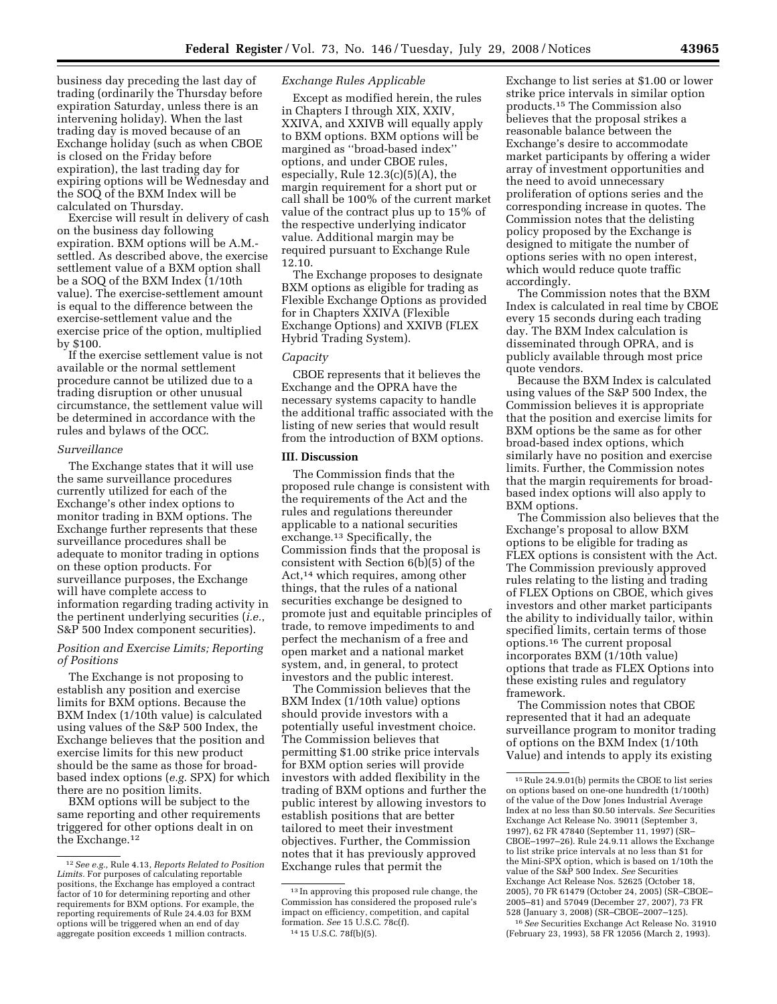business day preceding the last day of trading (ordinarily the Thursday before expiration Saturday, unless there is an intervening holiday). When the last trading day is moved because of an Exchange holiday (such as when CBOE is closed on the Friday before expiration), the last trading day for expiring options will be Wednesday and the SOQ of the BXM Index will be calculated on Thursday.

Exercise will result in delivery of cash on the business day following expiration. BXM options will be A.M. settled. As described above, the exercise settlement value of a BXM option shall be a SOQ of the BXM Index (1/10th value). The exercise-settlement amount is equal to the difference between the exercise-settlement value and the exercise price of the option, multiplied by \$100.

If the exercise settlement value is not available or the normal settlement procedure cannot be utilized due to a trading disruption or other unusual circumstance, the settlement value will be determined in accordance with the rules and bylaws of the OCC.

### *Surveillance*

The Exchange states that it will use the same surveillance procedures currently utilized for each of the Exchange's other index options to monitor trading in BXM options. The Exchange further represents that these surveillance procedures shall be adequate to monitor trading in options on these option products. For surveillance purposes, the Exchange will have complete access to information regarding trading activity in the pertinent underlying securities (*i.e.*, S&P 500 Index component securities).

## *Position and Exercise Limits; Reporting of Positions*

The Exchange is not proposing to establish any position and exercise limits for BXM options. Because the BXM Index (1/10th value) is calculated using values of the S&P 500 Index, the Exchange believes that the position and exercise limits for this new product should be the same as those for broadbased index options (*e.g.* SPX) for which there are no position limits.

BXM options will be subject to the same reporting and other requirements triggered for other options dealt in on the Exchange.12

### *Exchange Rules Applicable*

Except as modified herein, the rules in Chapters I through XIX, XXIV, XXIVA, and XXIVB will equally apply to BXM options. BXM options will be margined as ''broad-based index'' options, and under CBOE rules, especially, Rule 12.3(c)(5)(A), the margin requirement for a short put or call shall be 100% of the current market value of the contract plus up to 15% of the respective underlying indicator value. Additional margin may be required pursuant to Exchange Rule 12.10.

The Exchange proposes to designate BXM options as eligible for trading as Flexible Exchange Options as provided for in Chapters XXIVA (Flexible Exchange Options) and XXIVB (FLEX Hybrid Trading System).

### *Capacity*

CBOE represents that it believes the Exchange and the OPRA have the necessary systems capacity to handle the additional traffic associated with the listing of new series that would result from the introduction of BXM options.

### **III. Discussion**

The Commission finds that the proposed rule change is consistent with the requirements of the Act and the rules and regulations thereunder applicable to a national securities exchange.13 Specifically, the Commission finds that the proposal is consistent with Section 6(b)(5) of the Act,<sup>14</sup> which requires, among other things, that the rules of a national securities exchange be designed to promote just and equitable principles of trade, to remove impediments to and perfect the mechanism of a free and open market and a national market system, and, in general, to protect investors and the public interest.

The Commission believes that the BXM Index (1/10th value) options should provide investors with a potentially useful investment choice. The Commission believes that permitting \$1.00 strike price intervals for BXM option series will provide investors with added flexibility in the trading of BXM options and further the public interest by allowing investors to establish positions that are better tailored to meet their investment objectives. Further, the Commission notes that it has previously approved Exchange rules that permit the

Exchange to list series at \$1.00 or lower strike price intervals in similar option products.15 The Commission also believes that the proposal strikes a reasonable balance between the Exchange's desire to accommodate market participants by offering a wider array of investment opportunities and the need to avoid unnecessary proliferation of options series and the corresponding increase in quotes. The Commission notes that the delisting policy proposed by the Exchange is designed to mitigate the number of options series with no open interest, which would reduce quote traffic accordingly.

The Commission notes that the BXM Index is calculated in real time by CBOE every 15 seconds during each trading day. The BXM Index calculation is disseminated through OPRA, and is publicly available through most price quote vendors.

Because the BXM Index is calculated using values of the S&P 500 Index, the Commission believes it is appropriate that the position and exercise limits for BXM options be the same as for other broad-based index options, which similarly have no position and exercise limits. Further, the Commission notes that the margin requirements for broadbased index options will also apply to BXM options.

The Commission also believes that the Exchange's proposal to allow BXM options to be eligible for trading as FLEX options is consistent with the Act. The Commission previously approved rules relating to the listing and trading of FLEX Options on CBOE, which gives investors and other market participants the ability to individually tailor, within specified limits, certain terms of those options.16 The current proposal incorporates BXM (1/10th value) options that trade as FLEX Options into these existing rules and regulatory framework.

The Commission notes that CBOE represented that it had an adequate surveillance program to monitor trading of options on the BXM Index (1/10th Value) and intends to apply its existing

16*See* Securities Exchange Act Release No. 31910 (February 23, 1993), 58 FR 12056 (March 2, 1993).

<sup>12</sup>*See e.g.,* Rule 4.13, *Reports Related to Position Limits.* For purposes of calculating reportable positions, the Exchange has employed a contract factor of 10 for determining reporting and other requirements for BXM options. For example, the reporting requirements of Rule 24.4.03 for BXM options will be triggered when an end of day aggregate position exceeds 1 million contracts.

<sup>13</sup> In approving this proposed rule change, the Commission has considered the proposed rule's impact on efficiency, competition, and capital formation. *See* 15 U.S.C. 78c(f). 14 15 U.S.C. 78f(b)(5).

<sup>15</sup>Rule 24.9.01(b) permits the CBOE to list series on options based on one-one hundredth (1/100th) of the value of the Dow Jones Industrial Average Index at no less than \$0.50 intervals. *See* Securities Exchange Act Release No. 39011 (September 3, 1997), 62 FR 47840 (September 11, 1997) (SR– CBOE–1997–26). Rule 24.9.11 allows the Exchange to list strike price intervals at no less than \$1 for the Mini-SPX option, which is based on 1/10th the value of the S&P 500 Index. *See* Securities Exchange Act Release Nos. 52625 (October 18, 2005), 70 FR 61479 (October 24, 2005) (SR–CBOE– 2005–81) and 57049 (December 27, 2007), 73 FR 528 (January 3, 2008) (SR–CBOE–2007–125).